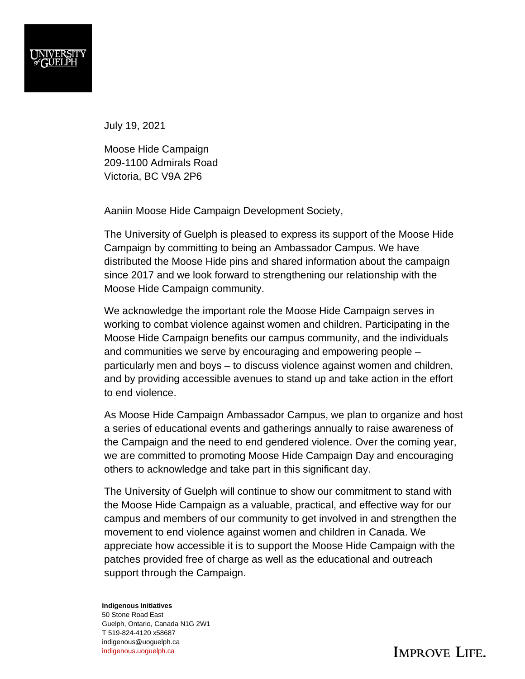

July 19, 2021

Moose Hide Campaign 209-1100 Admirals Road Victoria, BC V9A 2P6

Aaniin Moose Hide Campaign Development Society,

The University of Guelph is pleased to express its support of the Moose Hide Campaign by committing to being an Ambassador Campus. We have distributed the Moose Hide pins and shared information about the campaign since 2017 and we look forward to strengthening our relationship with the Moose Hide Campaign community.

We acknowledge the important role the Moose Hide Campaign serves in working to combat violence against women and children. Participating in the Moose Hide Campaign benefits our campus community, and the individuals and communities we serve by encouraging and empowering people – particularly men and boys – to discuss violence against women and children, and by providing accessible avenues to stand up and take action in the effort to end violence.

As Moose Hide Campaign Ambassador Campus, we plan to organize and host a series of educational events and gatherings annually to raise awareness of the Campaign and the need to end gendered violence. Over the coming year, we are committed to promoting Moose Hide Campaign Day and encouraging others to acknowledge and take part in this significant day.

The University of Guelph will continue to show our commitment to stand with the Moose Hide Campaign as a valuable, practical, and effective way for our campus and members of our community to get involved in and strengthen the movement to end violence against women and children in Canada. We appreciate how accessible it is to support the Moose Hide Campaign with the patches provided free of charge as well as the educational and outreach support through the Campaign.

**Indigenous Initiatives** 50 Stone Road East Guelph, Ontario, Canada N1G 2W1 T 519-824-4120 x58687 indigenous@uoguelph.ca [indigenous.uoguelph.ca](mailto:donate@uoguelph.ca)

**IMPROVE LIFE.**